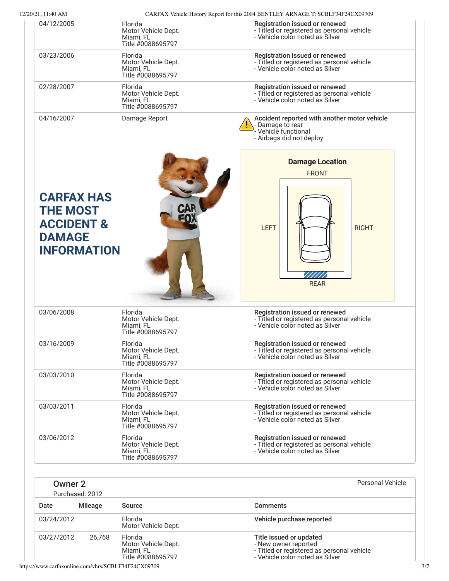| 12/20/21, 11:40 AM                                                              |                                                                  |                                                                                                                      |
|---------------------------------------------------------------------------------|------------------------------------------------------------------|----------------------------------------------------------------------------------------------------------------------|
| 04/12/2005                                                                      | Florida<br>Motor Vehicle Dept.<br>Miami, FL<br>Title #0088695797 | Registration issued or renewed<br>- Titled or registered as personal vehicle<br>- Vehicle color noted as Silver      |
| 03/23/2006                                                                      | Florida<br>Motor Vehicle Dept.<br>Miami, FL<br>Title #0088695797 | Registration issued or renewed<br>- Titled or registered as personal vehicle<br>- Vehicle color noted as Silver      |
| 02/28/2007                                                                      | Florida<br>Motor Vehicle Dept.<br>Miami, FL<br>Title #0088695797 | Registration issued or renewed<br>- Titled or registered as personal vehicle<br>- Vehicle color noted as Silver      |
| 04/16/2007                                                                      | Damage Report                                                    | Accident reported with another motor vehicle<br>- Damage to rear<br>- Vehicle functional<br>- Airbags did not deploy |
|                                                                                 |                                                                  | <b>Damage Location</b><br><b>FRONT</b>                                                                               |
| <b>CARFAX HAS</b>                                                               |                                                                  |                                                                                                                      |
| <b>THE MOST</b><br><b>ACCIDENT &amp;</b><br><b>DAMAGE</b><br><b>INFORMATION</b> |                                                                  | <b>LEFT</b><br><b>RIGHT</b><br><b>REAR</b>                                                                           |
| 03/06/2008                                                                      | Florida<br>Motor Vehicle Dept.<br>Miami, FL<br>Title #0088695797 | Registration issued or renewed<br>- Titled or registered as personal vehicle<br>- Vehicle color noted as Silver      |
| 03/16/2009                                                                      | Florida<br>Motor Vehicle Dept.<br>Miami, FL<br>Title #0088695797 | Registration issued or renewed<br>- Titled or registered as personal vehicle<br>- Vehicle color noted as Silver      |
| 03/03/2010                                                                      | Florida<br>Motor Vehicle Dept.<br>Miami, FL<br>Title #0088695797 | Registration issued or renewed<br>- Titled or registered as personal vehicle<br>- Vehicle color noted as Silver      |
| 03/03/2011                                                                      | Florida<br>Motor Vehicle Dept.<br>Miami, FL<br>Title #0088695797 | Registration issued or renewed<br>- Titled or registered as personal vehicle<br>- Vehicle color noted as Silver      |

| Date       | Mileage | Source                                                           | <b>Comments</b>                                                                                                                  |
|------------|---------|------------------------------------------------------------------|----------------------------------------------------------------------------------------------------------------------------------|
| 03/24/2012 |         | Florida<br>Motor Vehicle Dept.                                   | Vehicle purchase reported                                                                                                        |
| 03/27/2012 | 26.768  | Florida<br>Motor Vehicle Dept.<br>Miami, FL<br>Title #0088695797 | Title issued or updated<br>- New owner reported<br>- Titled or registered as personal vehicle<br>- Vehicle color noted as Silver |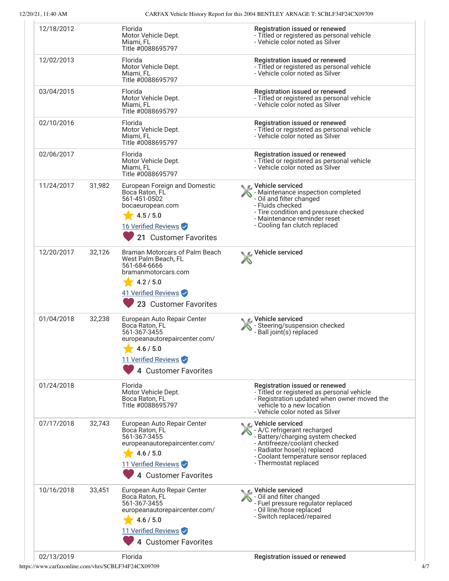12/20/21, 11:40 AM CARFAX Vehicle History Report for this 2004 BENTLEY ARNAGE T: SCBLF34F24CX09709

| 12/18/2012           | Florida                                                                                                                                                    | Registration issued or renewed                                                                                                                                                                                                    |
|----------------------|------------------------------------------------------------------------------------------------------------------------------------------------------------|-----------------------------------------------------------------------------------------------------------------------------------------------------------------------------------------------------------------------------------|
|                      | Motor Vehicle Dept.<br>Miami, FL<br>Title #0088695797                                                                                                      | - Titled or registered as personal vehicle<br>- Vehicle color noted as Silver                                                                                                                                                     |
| 12/02/2013           | Florida<br>Motor Vehicle Dept.<br>Miami, FL<br>Title #0088695797                                                                                           | Registration issued or renewed<br>- Titled or registered as personal vehicle<br>- Vehicle color noted as Silver                                                                                                                   |
| 03/04/2015           | Florida<br>Motor Vehicle Dept.<br>Miami, FL<br>Title #0088695797                                                                                           | Registration issued or renewed<br>- Titled or registered as personal vehicle<br>- Vehicle color noted as Silver                                                                                                                   |
| 02/10/2016           | Florida<br>Motor Vehicle Dept.<br>Miami, FL<br>Title #0088695797                                                                                           | Registration issued or renewed<br>- Titled or registered as personal vehicle<br>- Vehicle color noted as Silver                                                                                                                   |
| 02/06/2017           | Florida<br>Motor Vehicle Dept.<br>Miami, FL<br>Title #0088695797                                                                                           | Registration issued or renewed<br>- Titled or registered as personal vehicle<br>- Vehicle color noted as Silver                                                                                                                   |
| 11/24/2017<br>31,982 | European Foreign and Domestic<br>Boca Raton, FL<br>561-451-0502<br>bocaeuropean.com<br>4.5 / 5.0<br>16 Verified Reviews<br>21 Customer Favorites           | ⊾ ∈ Vehicle serviced<br>- Maintenance inspection completed<br>- Oil and filter changed<br>- Fluids checked<br>- Tire condition and pressure checked<br>- Maintenance reminder reset<br>- Cooling fan clutch replaced              |
| 12/20/2017<br>32,126 | Braman Motorcars of Palm Beach<br>West Palm Beach, FL<br>561-684-6666<br>bramanmotorcars.com<br>4.2 / 5.0<br>41 Verified Reviews<br>23 Customer Favorites  | Vehicle serviced                                                                                                                                                                                                                  |
| 01/04/2018<br>32,238 | European Auto Repair Center<br>Boca Raton, FL<br>561-367-3455<br>europeanautorepaircenter.com/<br>4.6 / 5.0<br>11 Verified Reviews<br>4 Customer Favorites | C Vehicle serviced<br>- Steering/suspension checked<br>- Ball joint(s) replaced                                                                                                                                                   |
| 01/24/2018           | Florida<br>Motor Vehicle Dept.<br>Boca Raton, FL<br>Title #0088695797                                                                                      | Registration issued or renewed<br>- Titled or registered as personal vehicle<br>- Registration updated when owner moved the<br>vehicle to a new location<br>- Vehicle color noted as Silver                                       |
| 07/17/2018<br>32,743 | European Auto Repair Center<br>Boca Raton, FL<br>561-367-3455<br>europeanautorepaircenter.com/<br>4.6 / 5.0<br>11 Verified Reviews<br>4 Customer Favorites | $\bullet$ C Vehicle serviced<br>- A/C refrigerant recharged<br>- Battery/charging system checked<br>- Antifreeze/coolant checked<br>- Radiator hose(s) replaced<br>- Coolant temperature sensor replaced<br>- Thermostat replaced |
| 10/16/2018<br>33,451 | European Auto Repair Center<br>Boca Raton, FL<br>561-367-3455<br>europeanautorepaircenter.com/<br>4.6 / 5.0<br>11 Verified Reviews<br>4 Customer Favorites | C Vehicle serviced<br>- Oil and filter changed<br>- Fuel pressure regulator replaced<br>- Oil line/hose replaced<br>- Switch replaced/repaired                                                                                    |
|                      |                                                                                                                                                            |                                                                                                                                                                                                                                   |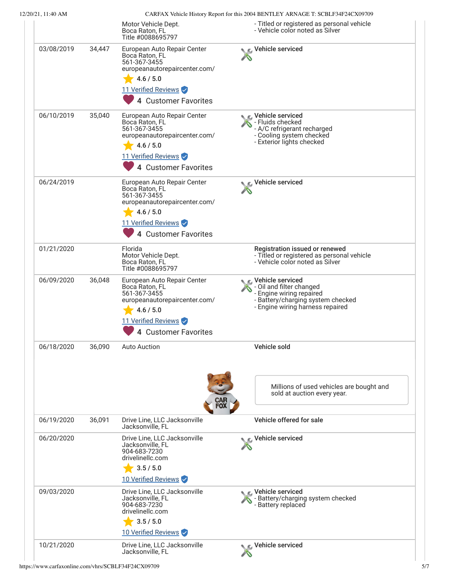12/20/21, 11:40 AM CARFAX Vehicle History Report for this 2004 BENTLEY ARNAGE T: SCBLF34F24CX09709

|            |        | Motor Vehicle Dept.<br>Boca Raton, FL<br>Title #0088695797                                                                                                 | haven't veniere rhotory responsion and 2007 BERVIER's rhat tried it: occurs in<br>- Titled or registered as personal vehicle<br>- Vehicle color noted as Silver |
|------------|--------|------------------------------------------------------------------------------------------------------------------------------------------------------------|-----------------------------------------------------------------------------------------------------------------------------------------------------------------|
| 03/08/2019 | 34,447 | European Auto Repair Center<br>Boca Raton, FL<br>561-367-3455<br>europeanautorepaircenter.com/<br>4.6 / 5.0<br>11 Verified Reviews<br>4 Customer Favorites | C Vehicle serviced                                                                                                                                              |
| 06/10/2019 | 35,040 | European Auto Repair Center<br>Boca Raton, FL<br>561-367-3455<br>europeanautorepaircenter.com/<br>4.6 / 5.0<br>11 Verified Reviews<br>4 Customer Favorites | ic⊾ Vehicle serviced<br>- Fluids checked<br>- A/C refrigerant recharged<br>- Cooling system checked<br>- Exterior lights checked                                |
| 06/24/2019 |        | European Auto Repair Center<br>Boca Raton, FL<br>561-367-3455<br>europeanautorepaircenter.com/<br>4.6 / 5.0<br>11 Verified Reviews<br>4 Customer Favorites | Vehicle serviced                                                                                                                                                |
| 01/21/2020 |        | Florida<br>Motor Vehicle Dept.<br>Boca Raton, FL<br>Title #0088695797                                                                                      | Registration issued or renewed<br>- Titled or registered as personal vehicle<br>- Vehicle color noted as Silver                                                 |
| 06/09/2020 | 36,048 | European Auto Repair Center<br>Boca Raton, FL<br>561-367-3455<br>europeanautorepaircenter.com/<br>4.6 / 5.0<br>11 Verified Reviews<br>4 Customer Favorites | C Vehicle serviced<br>- Oil and filter changed<br>- Engine wiring repaired<br>- Battery/charging system checked<br>- Engine wiring harness repaired             |
| 06/18/2020 | 36,090 | Auto Auction                                                                                                                                               | Vehicle sold                                                                                                                                                    |
|            |        |                                                                                                                                                            | Millions of used vehicles are bought and<br>sold at auction every year.                                                                                         |
| 06/19/2020 | 36,091 | Drive Line, LLC Jacksonville<br>Jacksonville, FL                                                                                                           | Vehicle offered for sale                                                                                                                                        |
| 06/20/2020 |        | Drive Line, LLC Jacksonville<br>Jacksonville, FL<br>904-683-7230<br>drivelinellc.com<br>3.5 / 5.0                                                          | Vehicle serviced                                                                                                                                                |
| 09/03/2020 |        | 10 Verified Reviews<br>Drive Line, LLC Jacksonville<br>Jacksonville, FL<br>904-683-7230<br>drivelinellc.com<br>3.5 / 5.0<br>10 Verified Reviews            | C Vehicle serviced<br>- Battery/charging system checked<br>- Battery replaced                                                                                   |
|            |        |                                                                                                                                                            |                                                                                                                                                                 |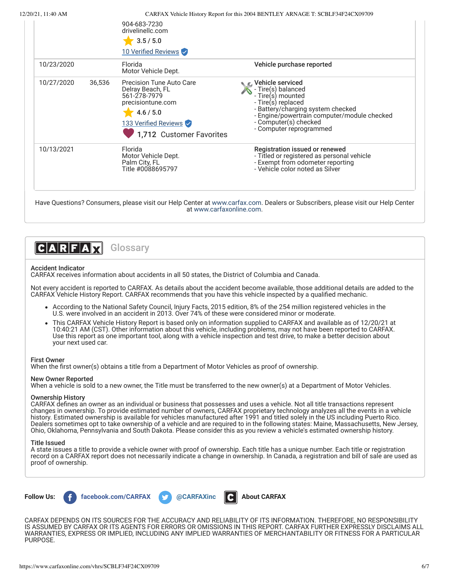12/20/21, 11:40 AM CARFAX Vehicle History Report for this 2004 BENTLEY ARNAGE T: SCBLF34F24CX09709

|            |        | 904-683-7230<br>drivelinellc.com<br>3.5 / 5.0<br>10 Verified Reviews                                                                               |                                                                                                                                                                                                                           |
|------------|--------|----------------------------------------------------------------------------------------------------------------------------------------------------|---------------------------------------------------------------------------------------------------------------------------------------------------------------------------------------------------------------------------|
| 10/23/2020 |        | Florida<br>Motor Vehicle Dept.                                                                                                                     | Vehicle purchase reported                                                                                                                                                                                                 |
| 10/27/2020 | 36,536 | Precision Tune Auto Care<br>Delray Beach, FL<br>561-278-7979<br>precisiontune.com<br>4.6 / 5.0<br>133 Verified Reviews<br>1,712 Customer Favorites | Vehicle serviced<br>- Tire(s) balanced<br>- Tire(s) mounted<br>- Tire(s) replaced<br>- Battery/charging system checked<br>- Engine/powertrain computer/module checked<br>- Computer(s) checked<br>- Computer reprogrammed |
| 10/13/2021 |        | Florida<br>Motor Vehicle Dept.<br>Palm City, FL<br>Title #0088695797                                                                               | Registration issued or renewed<br>- Titled or registered as personal vehicle<br>- Exempt from odometer reporting<br>- Vehicle color noted as Silver                                                                       |

Have Questions? Consumers, please visit our Help Center at [www.carfax.com.](http://www.carfax.com/help) Dealers or Subscribers, please visit our Help Center at [www.carfaxonline.com](http://www.carfaxonline.com/).



# Accident Indicator

CARFAX receives information about accidents in all 50 states, the District of Columbia and Canada.

Not every accident is reported to CARFAX. As details about the accident become available, those additional details are added to the CARFAX Vehicle History Report. CARFAX recommends that you have this vehicle inspected by a qualified mechanic.

- According to the National Safety Council, Injury Facts, 2015 edition, 8% of the 254 million registered vehicles in the U.S. were involved in an accident in 2013. Over 74% of these were considered minor or moderate.
- This CARFAX Vehicle History Report is based only on information supplied to CARFAX and available as of 12/20/21 at 10:40:21 AM (CST). Other information about this vehicle, including problems, may not have been reported to CARFAX. Use this report as one important tool, along with a vehicle inspection and test drive, to make a better decision about your next used car.

### First Owner

When the first owner(s) obtains a title from a Department of Motor Vehicles as proof of ownership.

# New Owner Reported

When a vehicle is sold to a new owner, the Title must be transferred to the new owner(s) at a Department of Motor Vehicles.

## Ownership History

CARFAX defines an owner as an individual or business that possesses and uses a vehicle. Not all title transactions represent changes in ownership. To provide estimated number of owners, CARFAX proprietary technology analyzes all the events in a vehicle history. Estimated ownership is available for vehicles manufactured after 1991 and titled solely in the US including Puerto Rico. Dealers sometimes opt to take ownership of a vehicle and are required to in the following states: Maine, Massachusetts, New Jersey, Ohio, Oklahoma, Pennsylvania and South Dakota. Please consider this as you review a vehicle's estimated ownership history.

### Title Issued

A state issues a title to provide a vehicle owner with proof of ownership. Each title has a unique number. Each title or registration record on a CARFAX report does not necessarily indicate a change in ownership. In Canada, a registration and bill of sale are used as proof of ownership.



CARFAX DEPENDS ON ITS SOURCES FOR THE ACCURACY AND RELIABILITY OF ITS INFORMATION. THEREFORE, NO RESPONSIBILITY IS ASSUMED BY CARFAX OR ITS AGENTS FOR ERRORS OR OMISSIONS IN THIS REPORT. CARFAX FURTHER EXPRESSLY DISCLAIMS ALL WARRANTIES, EXPRESS OR IMPLIED, INCLUDING ANY IMPLIED WARRANTIES OF MERCHANTABILITY OR FITNESS FOR A PARTICULAR PURPOSE.